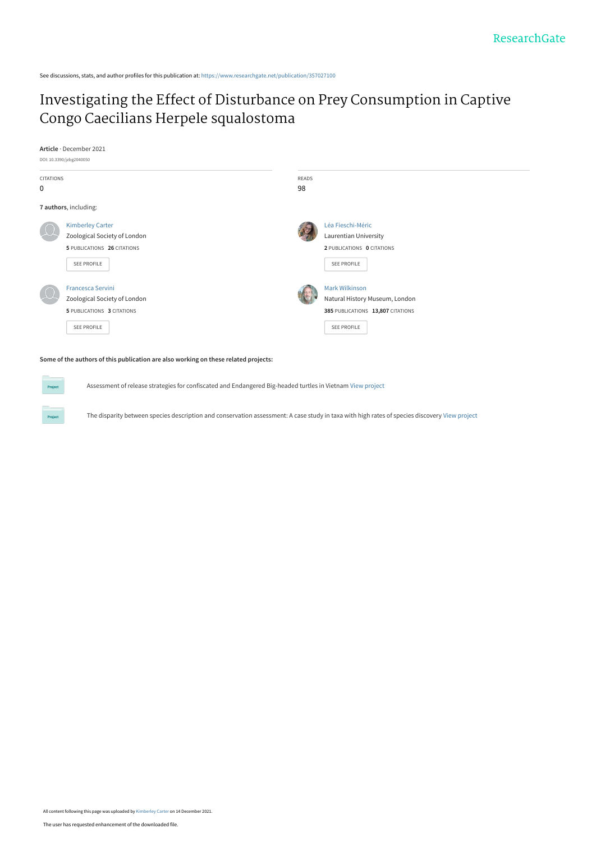See discussions, stats, and author profiles for this publication at: [https://www.researchgate.net/publication/357027100](https://www.researchgate.net/publication/357027100_Investigating_the_Effect_of_Disturbance_on_Prey_Consumption_in_Captive_Congo_Caecilians_Herpele_squalostoma?enrichId=rgreq-b7596bc92d596753197705d46d0516c2-XXX&enrichSource=Y292ZXJQYWdlOzM1NzAyNzEwMDtBUzoxMTAwOTIwNzk2NTI0NTQ0QDE2Mzk0OTEzODAxODU%3D&el=1_x_2&_esc=publicationCoverPdf)

## [Investigating the Effect of Disturbance on Prey Consumption in Captive](https://www.researchgate.net/publication/357027100_Investigating_the_Effect_of_Disturbance_on_Prey_Consumption_in_Captive_Congo_Caecilians_Herpele_squalostoma?enrichId=rgreq-b7596bc92d596753197705d46d0516c2-XXX&enrichSource=Y292ZXJQYWdlOzM1NzAyNzEwMDtBUzoxMTAwOTIwNzk2NTI0NTQ0QDE2Mzk0OTEzODAxODU%3D&el=1_x_3&_esc=publicationCoverPdf) Congo Caecilians Herpele squalostoma

**Article** · December 2021



**Some of the authors of this publication are also working on these related projects:**

Assessment of release strategies for confiscated and Endangered Big-headed turtles in Vietnam [View project](https://www.researchgate.net/project/Assessment-of-release-strategies-for-confiscated-and-Endangered-Big-headed-turtles-in-Vietnam?enrichId=rgreq-b7596bc92d596753197705d46d0516c2-XXX&enrichSource=Y292ZXJQYWdlOzM1NzAyNzEwMDtBUzoxMTAwOTIwNzk2NTI0NTQ0QDE2Mzk0OTEzODAxODU%3D&el=1_x_9&_esc=publicationCoverPdf)

The disparity between species description and conservation assessment: A case study in taxa with high rates of species discovery [View project](https://www.researchgate.net/project/The-disparity-between-species-description-and-conservation-assessment-A-case-study-in-taxa-with-high-rates-of-species-discovery?enrichId=rgreq-b7596bc92d596753197705d46d0516c2-XXX&enrichSource=Y292ZXJQYWdlOzM1NzAyNzEwMDtBUzoxMTAwOTIwNzk2NTI0NTQ0QDE2Mzk0OTEzODAxODU%3D&el=1_x_9&_esc=publicationCoverPdf)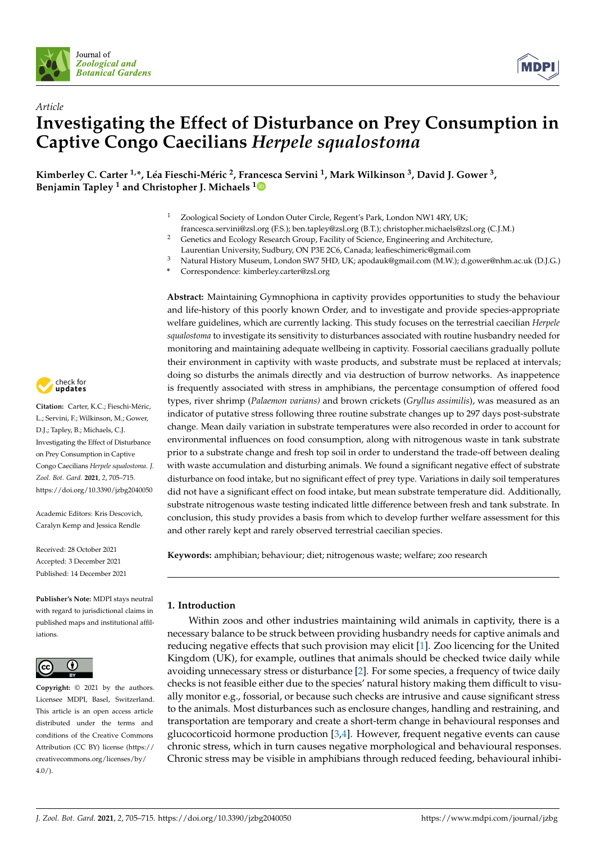

*Article*



# **Investigating the Effect of Disturbance on Prey Consumption in Captive Congo Caecilians** *Herpele squalostoma*

Kimberley C. Carter <sup>1,</sup>\*, Léa Fieschi-Méric <sup>2</sup>, Fra[nce](https://orcid.org/0000-0002-4733-8397)sca Servini <sup>1</sup>, Mark Wilkinson <sup>3</sup>, David J. Gower <sup>3</sup>, **Benjamin Tapley <sup>1</sup> and Christopher J. Michaels <sup>1</sup>**

- Zoological Society of London Outer Circle, Regent's Park, London NW1 4RY, UK;
- francesca.servini@zsl.org (F.S.); ben.tapley@zsl.org (B.T.); christopher.michaels@zsl.org (C.J.M.)
- <sup>2</sup> Genetics and Ecology Research Group, Facility of Science, Engineering and Architecture,
	- Laurentian University, Sudbury, ON P3E 2C6, Canada; leafieschimeric@gmail.com
- <sup>3</sup> Natural History Museum, London SW7 5HD, UK; apodauk@gmail.com (M.W.); d.gower@nhm.ac.uk (D.J.G.)
	- **\*** Correspondence: kimberley.carter@zsl.org

**Abstract:** Maintaining Gymnophiona in captivity provides opportunities to study the behaviour and life-history of this poorly known Order, and to investigate and provide species-appropriate welfare guidelines, which are currently lacking. This study focuses on the terrestrial caecilian *Herpele squalostoma* to investigate its sensitivity to disturbances associated with routine husbandry needed for monitoring and maintaining adequate wellbeing in captivity. Fossorial caecilians gradually pollute their environment in captivity with waste products, and substrate must be replaced at intervals; doing so disturbs the animals directly and via destruction of burrow networks. As inappetence is frequently associated with stress in amphibians, the percentage consumption of offered food types, river shrimp (*Palaemon varians)* and brown crickets (*Gryllus assimilis*), was measured as an indicator of putative stress following three routine substrate changes up to 297 days post-substrate change. Mean daily variation in substrate temperatures were also recorded in order to account for environmental influences on food consumption, along with nitrogenous waste in tank substrate prior to a substrate change and fresh top soil in order to understand the trade-off between dealing with waste accumulation and disturbing animals. We found a significant negative effect of substrate disturbance on food intake, but no significant effect of prey type. Variations in daily soil temperatures did not have a significant effect on food intake, but mean substrate temperature did. Additionally, substrate nitrogenous waste testing indicated little difference between fresh and tank substrate. In conclusion, this study provides a basis from which to develop further welfare assessment for this and other rarely kept and rarely observed terrestrial caecilian species.

**Keywords:** amphibian; behaviour; diet; nitrogenous waste; welfare; zoo research

### **1. Introduction**

Within zoos and other industries maintaining wild animals in captivity, there is a necessary balance to be struck between providing husbandry needs for captive animals and reducing negative effects that such provision may elicit [\[1\]](#page-9-0). Zoo licencing for the United Kingdom (UK), for example, outlines that animals should be checked twice daily while avoiding unnecessary stress or disturbance [\[2\]](#page-9-1). For some species, a frequency of twice daily checks is not feasible either due to the species' natural history making them difficult to visually monitor e.g., fossorial, or because such checks are intrusive and cause significant stress to the animals. Most disturbances such as enclosure changes, handling and restraining, and transportation are temporary and create a short-term change in behavioural responses and glucocorticoid hormone production [\[3](#page-9-2)[,4\]](#page-9-3). However, frequent negative events can cause chronic stress, which in turn causes negative morphological and behavioural responses. Chronic stress may be visible in amphibians through reduced feeding, behavioural inhibi-



**Citation:** Carter, K.C.; Fieschi-Méric, L.; Servini, F.; Wilkinson, M.; Gower, D.J.; Tapley, B.; Michaels, C.J. Investigating the Effect of Disturbance on Prey Consumption in Captive Congo Caecilians *Herpele squalostoma*. *J. Zool. Bot. Gard.* **2021**, *2*, 705–715. <https://doi.org/10.3390/jzbg2040050>

Academic Editors: Kris Descovich, Caralyn Kemp and Jessica Rendle

Received: 28 October 2021 Accepted: 3 December 2021 Published: 14 December 2021

**Publisher's Note:** MDPI stays neutral with regard to jurisdictional claims in published maps and institutional affiliations.



**Copyright:** © 2021 by the authors. Licensee MDPI, Basel, Switzerland. This article is an open access article distributed under the terms and conditions of the Creative Commons Attribution (CC BY) license (https:/[/](https://creativecommons.org/licenses/by/4.0/) [creativecommons.org/licenses/by/](https://creativecommons.org/licenses/by/4.0/)  $4.0/$ ).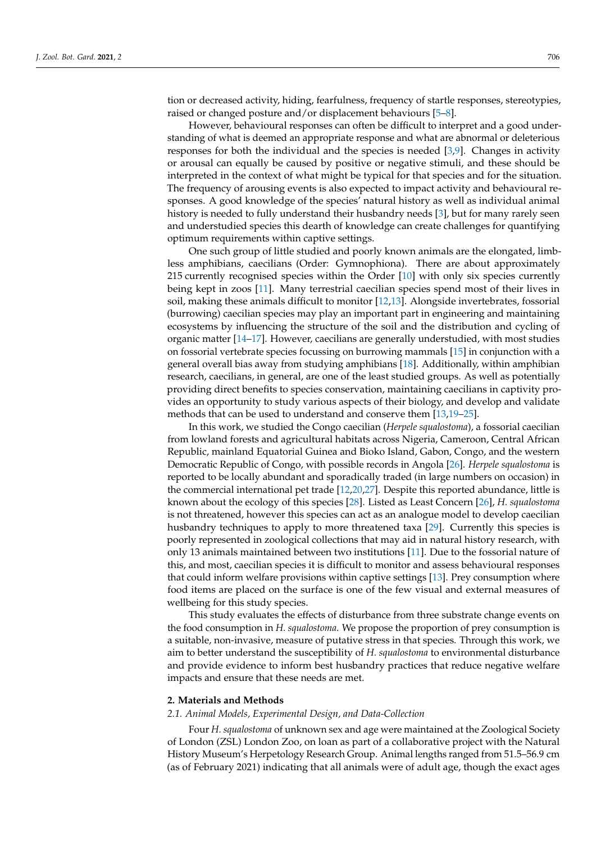tion or decreased activity, hiding, fearfulness, frequency of startle responses, stereotypies, raised or changed posture and/or displacement behaviours [\[5](#page-9-4)[–8\]](#page-9-5).

However, behavioural responses can often be difficult to interpret and a good understanding of what is deemed an appropriate response and what are abnormal or deleterious responses for both the individual and the species is needed [\[3,](#page-9-2)[9\]](#page-9-6). Changes in activity or arousal can equally be caused by positive or negative stimuli, and these should be interpreted in the context of what might be typical for that species and for the situation. The frequency of arousing events is also expected to impact activity and behavioural responses. A good knowledge of the species' natural history as well as individual animal history is needed to fully understand their husbandry needs [\[3\]](#page-9-2), but for many rarely seen and understudied species this dearth of knowledge can create challenges for quantifying optimum requirements within captive settings.

One such group of little studied and poorly known animals are the elongated, limbless amphibians, caecilians (Order: Gymnophiona). There are about approximately 215 currently recognised species within the Order [\[10\]](#page-10-0) with only six species currently being kept in zoos [\[11\]](#page-10-1). Many terrestrial caecilian species spend most of their lives in soil, making these animals difficult to monitor [\[12,](#page-10-2)[13\]](#page-10-3). Alongside invertebrates, fossorial (burrowing) caecilian species may play an important part in engineering and maintaining ecosystems by influencing the structure of the soil and the distribution and cycling of organic matter [\[14](#page-10-4)[–17\]](#page-10-5). However, caecilians are generally understudied, with most studies on fossorial vertebrate species focussing on burrowing mammals [\[15\]](#page-10-6) in conjunction with a general overall bias away from studying amphibians [\[18\]](#page-10-7). Additionally, within amphibian research, caecilians, in general, are one of the least studied groups. As well as potentially providing direct benefits to species conservation, maintaining caecilians in captivity provides an opportunity to study various aspects of their biology, and develop and validate methods that can be used to understand and conserve them [\[13](#page-10-3)[,19](#page-10-8)[–25\]](#page-10-9).

In this work, we studied the Congo caecilian (*Herpele squalostoma*), a fossorial caecilian from lowland forests and agricultural habitats across Nigeria, Cameroon, Central African Republic, mainland Equatorial Guinea and Bioko Island, Gabon, Congo, and the western Democratic Republic of Congo, with possible records in Angola [\[26\]](#page-10-10). *Herpele squalostoma* is reported to be locally abundant and sporadically traded (in large numbers on occasion) in the commercial international pet trade [\[12,](#page-10-2)[20](#page-10-11)[,27\]](#page-10-12). Despite this reported abundance, little is known about the ecology of this species [\[28\]](#page-10-13). Listed as Least Concern [\[26\]](#page-10-10), *H. squalostoma* is not threatened, however this species can act as an analogue model to develop caecilian husbandry techniques to apply to more threatened taxa [\[29\]](#page-10-14). Currently this species is poorly represented in zoological collections that may aid in natural history research, with only 13 animals maintained between two institutions [\[11\]](#page-10-1). Due to the fossorial nature of this, and most, caecilian species it is difficult to monitor and assess behavioural responses that could inform welfare provisions within captive settings [\[13\]](#page-10-3). Prey consumption where food items are placed on the surface is one of the few visual and external measures of wellbeing for this study species.

This study evaluates the effects of disturbance from three substrate change events on the food consumption in *H. squalostoma*. We propose the proportion of prey consumption is a suitable, non-invasive, measure of putative stress in that species. Through this work, we aim to better understand the susceptibility of *H. squalostoma* to environmental disturbance and provide evidence to inform best husbandry practices that reduce negative welfare impacts and ensure that these needs are met.

#### **2. Materials and Methods**

#### *2.1. Animal Models, Experimental Design, and Data-Collection*

Four *H. squalostoma* of unknown sex and age were maintained at the Zoological Society of London (ZSL) London Zoo, on loan as part of a collaborative project with the Natural History Museum's Herpetology Research Group. Animal lengths ranged from 51.5–56.9 cm (as of February 2021) indicating that all animals were of adult age, though the exact ages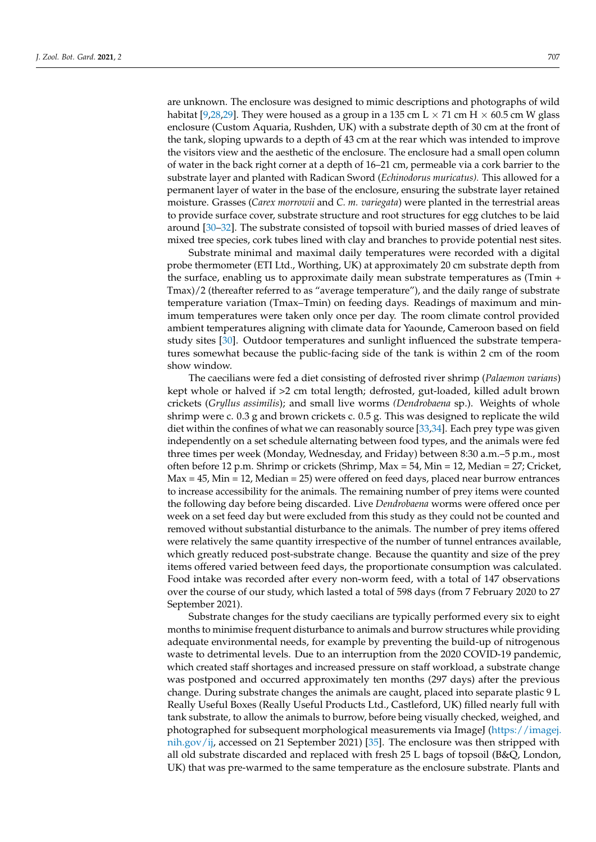are unknown. The enclosure was designed to mimic descriptions and photographs of wild habitat [\[9](#page-9-6)[,28](#page-10-13)[,29\]](#page-10-14). They were housed as a group in a 135 cm L  $\times$  71 cm H  $\times$  60.5 cm W glass enclosure (Custom Aquaria, Rushden, UK) with a substrate depth of 30 cm at the front of the tank, sloping upwards to a depth of 43 cm at the rear which was intended to improve the visitors view and the aesthetic of the enclosure. The enclosure had a small open column of water in the back right corner at a depth of 16–21 cm, permeable via a cork barrier to the substrate layer and planted with Radican Sword (*Echinodorus muricatus).* This allowed for a permanent layer of water in the base of the enclosure, ensuring the substrate layer retained moisture. Grasses (*Carex morrowii* and *C. m. variegata*) were planted in the terrestrial areas to provide surface cover, substrate structure and root structures for egg clutches to be laid around [\[30–](#page-10-15)[32\]](#page-10-16). The substrate consisted of topsoil with buried masses of dried leaves of mixed tree species, cork tubes lined with clay and branches to provide potential nest sites.

Substrate minimal and maximal daily temperatures were recorded with a digital probe thermometer (ETI Ltd., Worthing, UK) at approximately 20 cm substrate depth from the surface, enabling us to approximate daily mean substrate temperatures as (Tmin + Tmax)/2 (thereafter referred to as "average temperature"), and the daily range of substrate temperature variation (Tmax–Tmin) on feeding days. Readings of maximum and minimum temperatures were taken only once per day. The room climate control provided ambient temperatures aligning with climate data for Yaounde, Cameroon based on field study sites [\[30\]](#page-10-15). Outdoor temperatures and sunlight influenced the substrate temperatures somewhat because the public-facing side of the tank is within 2 cm of the room show window.

The caecilians were fed a diet consisting of defrosted river shrimp (*Palaemon varians*) kept whole or halved if >2 cm total length; defrosted, gut-loaded, killed adult brown crickets (*Gryllus assimilis*); and small live worms *(Dendrobaena* sp.). Weights of whole shrimp were c. 0.3 g and brown crickets c. 0.5 g. This was designed to replicate the wild diet within the confines of what we can reasonably source [\[33](#page-10-17)[,34\]](#page-10-18). Each prey type was given independently on a set schedule alternating between food types, and the animals were fed three times per week (Monday, Wednesday, and Friday) between 8:30 a.m.–5 p.m., most often before 12 p.m. Shrimp or crickets (Shrimp, Max = 54, Min = 12, Median = 27; Cricket,  $Max = 45$ ,  $Min = 12$ ,  $Median = 25$ ) were offered on feed days, placed near burrow entrances to increase accessibility for the animals. The remaining number of prey items were counted the following day before being discarded. Live *Dendrobaena* worms were offered once per week on a set feed day but were excluded from this study as they could not be counted and removed without substantial disturbance to the animals. The number of prey items offered were relatively the same quantity irrespective of the number of tunnel entrances available, which greatly reduced post-substrate change. Because the quantity and size of the prey items offered varied between feed days, the proportionate consumption was calculated. Food intake was recorded after every non-worm feed, with a total of 147 observations over the course of our study, which lasted a total of 598 days (from 7 February 2020 to 27 September 2021).

Substrate changes for the study caecilians are typically performed every six to eight months to minimise frequent disturbance to animals and burrow structures while providing adequate environmental needs, for example by preventing the build-up of nitrogenous waste to detrimental levels. Due to an interruption from the 2020 COVID-19 pandemic, which created staff shortages and increased pressure on staff workload, a substrate change was postponed and occurred approximately ten months (297 days) after the previous change. During substrate changes the animals are caught, placed into separate plastic 9 L Really Useful Boxes (Really Useful Products Ltd., Castleford, UK) filled nearly full with tank substrate, to allow the animals to burrow, before being visually checked, weighed, and photographed for subsequent morphological measurements via ImageJ [\(https://imagej.](https://imagej.nih.gov/ij) [nih.gov/ij,](https://imagej.nih.gov/ij) accessed on 21 September 2021) [\[35\]](#page-10-19). The enclosure was then stripped with all old substrate discarded and replaced with fresh 25 L bags of topsoil (B&Q, London, UK) that was pre-warmed to the same temperature as the enclosure substrate. Plants and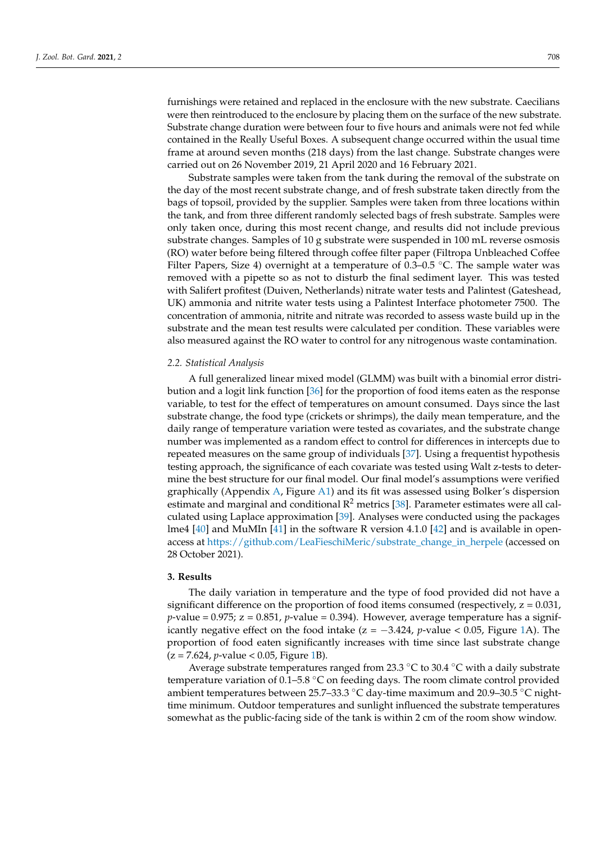furnishings were retained and replaced in the enclosure with the new substrate. Caecilians were then reintroduced to the enclosure by placing them on the surface of the new substrate. Substrate change duration were between four to five hours and animals were not fed while contained in the Really Useful Boxes. A subsequent change occurred within the usual time frame at around seven months (218 days) from the last change. Substrate changes were carried out on 26 November 2019, 21 April 2020 and 16 February 2021.

Substrate samples were taken from the tank during the removal of the substrate on the day of the most recent substrate change, and of fresh substrate taken directly from the bags of topsoil, provided by the supplier. Samples were taken from three locations within the tank, and from three different randomly selected bags of fresh substrate. Samples were only taken once, during this most recent change, and results did not include previous substrate changes. Samples of 10 g substrate were suspended in 100 mL reverse osmosis (RO) water before being filtered through coffee filter paper (Filtropa Unbleached Coffee Filter Papers, Size 4) overnight at a temperature of  $0.3-0.5$  °C. The sample water was removed with a pipette so as not to disturb the final sediment layer. This was tested with Salifert profitest (Duiven, Netherlands) nitrate water tests and Palintest (Gateshead, UK) ammonia and nitrite water tests using a Palintest Interface photometer 7500. The concentration of ammonia, nitrite and nitrate was recorded to assess waste build up in the substrate and the mean test results were calculated per condition. These variables were also measured against the RO water to control for any nitrogenous waste contamination.

#### *2.2. Statistical Analysis*

A full generalized linear mixed model (GLMM) was built with a binomial error distribution and a logit link function [\[36\]](#page-10-20) for the proportion of food items eaten as the response variable, to test for the effect of temperatures on amount consumed. Days since the last substrate change, the food type (crickets or shrimps), the daily mean temperature, and the daily range of temperature variation were tested as covariates, and the substrate change number was implemented as a random effect to control for differences in intercepts due to repeated measures on the same group of individuals [\[37\]](#page-10-21). Using a frequentist hypothesis testing approach, the significance of each covariate was tested using Walt z-tests to determine the best structure for our final model. Our final model's assumptions were verified graphically (Appendix [A,](#page-9-7) Figure [A1\)](#page-9-8) and its fit was assessed using Bolker's dispersion estimate and marginal and conditional  $\mathbb{R}^2$  metrics [\[38\]](#page-10-22). Parameter estimates were all calculated using Laplace approximation [\[39\]](#page-11-0). Analyses were conducted using the packages lme4 [\[40\]](#page-11-1) and MuMIn [\[41\]](#page-11-2) in the software R version 4.1.0 [\[42\]](#page-11-3) and is available in openaccess at [https://github.com/LeaFieschiMeric/substrate\\_change\\_in\\_herpele](https://github.com/LeaFieschiMeric/substrate_change_in_herpele) (accessed on 28 October 2021).

#### **3. Results**

The daily variation in temperature and the type of food provided did not have a significant difference on the proportion of food items consumed (respectively,  $z = 0.031$ ,  $p$ -value = 0.975;  $z = 0.851$ ,  $p$ -value = 0.394). However, average temperature has a significantly negative effect on the food intake ( $z = -3.424$ ,  $p$ -value < 0.05, Figure [1A](#page-5-0)). The proportion of food eaten significantly increases with time since last substrate change (z = 7.624, *p*-value < 0.05, Figure [1B](#page-5-0)).

Average substrate temperatures ranged from 23.3 ◦C to 30.4 ◦C with a daily substrate temperature variation of 0.1–5.8 °C on feeding days. The room climate control provided ambient temperatures between 25.7–33.3 ◦C day-time maximum and 20.9–30.5 ◦C nighttime minimum. Outdoor temperatures and sunlight influenced the substrate temperatures somewhat as the public-facing side of the tank is within 2 cm of the room show window.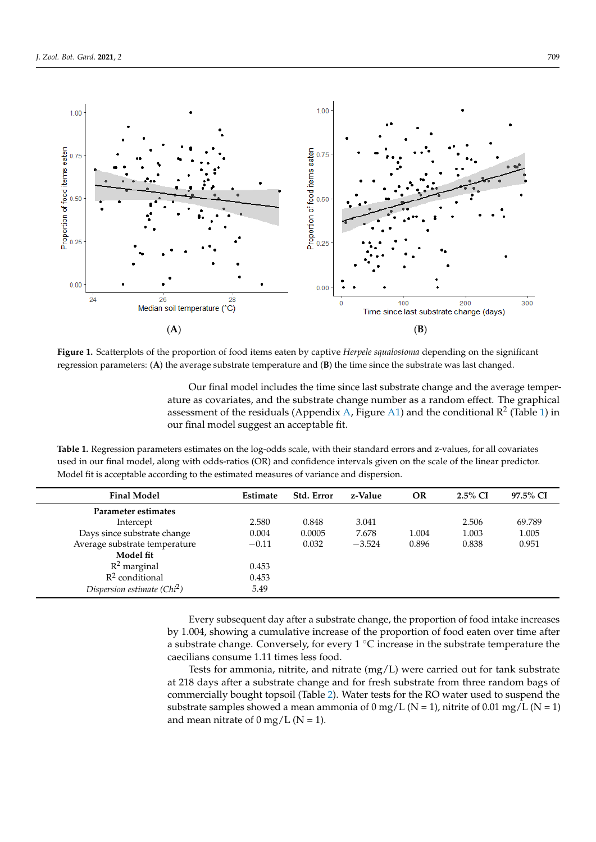<span id="page-5-0"></span>

Figure 1. Scatterplots of the proportion of food items eaten by captive Herpele squalostoma depending on the significant regression parameters: (A) the average substrate temperature and (B) the time since the substrate was last changed.

Our final model includes the time since last substrate change and the average temperature as covariates, and the substrate change number as a random effect. The graphical assessment of the residuals (Appendix [A,](#page-9-7) Figure [A1\)](#page-9-8) and the conditional  $\mathbb{R}^2$  (Table [1\)](#page-5-1) in our final model suggest an acceptable fit.

<span id="page-5-1"></span>Table 1. Regression parameters estimates on the log-odds scale, with their standard errors and z-values, for all covariates used in our final model, along with odds-ratios (OR) and confidence intervals given on the scale of the linear predictor. Model fit is acceptable according to the estimated measures of variance and dispersion. Model fit is acceptable according to the estimated measures of variance and dispersion.

| <b>Final Model</b>            | Estimate | Std. Error | z-Value  | <b>OR</b> | $2.5\%$ CI | 97.5% CI |
|-------------------------------|----------|------------|----------|-----------|------------|----------|
| <b>Parameter estimates</b>    |          |            |          |           |            |          |
| Intercept                     | 2.580    | 0.848      | 3.041    |           | 2.506      | 69.789   |
| Days since substrate change   | 0.004    | 0.0005     | 7.678    | 1.004     | 1.003      | 1.005    |
| Average substrate temperature | $-0.11$  | 0.032      | $-3.524$ | 0.896     | 0.838      | 0.951    |
| Model fit                     |          |            |          |           |            |          |
| $R^2$ marginal                | 0.453    |            |          |           |            |          |
| $R^2$ conditional             | 0.453    |            |          |           |            |          |
| Dispersion estimate $(Chi2)$  | 5.49     |            |          |           |            |          |

Every subsequent day after a substrate change, the proportion of food intake increases by 1.004, showing a cumulative increase of the proportion of food eaten over time after a substrate change. Conversely, for every 1  $°C$  increase in the substrate temperature the caecilians consume 1.11 times less food.

Tests for ammonia, nitrite, and nitrate  $(mg/L)$  were carried out for tank substrate at 218 days after a substrate change and for fresh substrate from three random bags of commercially bought topsoil (Table [2\)](#page-6-0). Water tests for the RO water used to suspend the mercially bought topsoil (Table 2). Water tests for the RO water used to suspend the subsubstrate samples showed a mean ammonia of 0 mg/L (N = 1), nitrite of 0.01 mg/L (N = 1) and mean aittate of 0 mg/L (N - 1) and mean nitrate of  $0 \text{ mg/L}$  (N = 1). at 218 days after a substrate change and for fresh substrate from three random bags of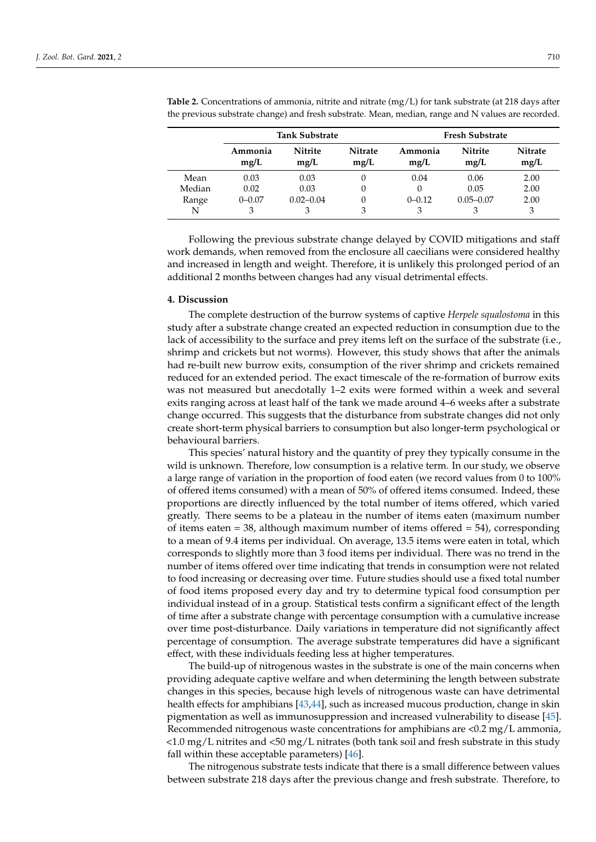|        | <b>Tank Substrate</b> |                        |                        | <b>Fresh Substrate</b> |                        |                        |  |
|--------|-----------------------|------------------------|------------------------|------------------------|------------------------|------------------------|--|
|        | Ammonia<br>mg/L       | <b>Nitrite</b><br>mg/L | <b>Nitrate</b><br>mg/L | Ammonia<br>mg/L        | <b>Nitrite</b><br>mg/L | <b>Nitrate</b><br>mg/L |  |
| Mean   | 0.03                  | 0.03                   |                        | 0.04                   | 0.06                   | 2.00                   |  |
| Median | 0.02                  | 0.03                   | 0                      |                        | 0.05                   | 2.00                   |  |
| Range  | $0 - 0.07$            | $0.02 - 0.04$          |                        | $0 - 0.12$             | $0.05 - 0.07$          | 2.00                   |  |
| N      | 3                     | 3                      |                        | 3                      | З                      | 3                      |  |

<span id="page-6-0"></span>**Table 2.** Concentrations of ammonia, nitrite and nitrate (mg/L) for tank substrate (at 218 days after the previous substrate change) and fresh substrate. Mean, median, range and N values are recorded.

Following the previous substrate change delayed by COVID mitigations and staff work demands, when removed from the enclosure all caecilians were considered healthy and increased in length and weight. Therefore, it is unlikely this prolonged period of an additional 2 months between changes had any visual detrimental effects.

#### **4. Discussion**

The complete destruction of the burrow systems of captive *Herpele squalostoma* in this study after a substrate change created an expected reduction in consumption due to the lack of accessibility to the surface and prey items left on the surface of the substrate (i.e., shrimp and crickets but not worms). However, this study shows that after the animals had re-built new burrow exits, consumption of the river shrimp and crickets remained reduced for an extended period. The exact timescale of the re-formation of burrow exits was not measured but anecdotally 1–2 exits were formed within a week and several exits ranging across at least half of the tank we made around 4–6 weeks after a substrate change occurred. This suggests that the disturbance from substrate changes did not only create short-term physical barriers to consumption but also longer-term psychological or behavioural barriers.

This species' natural history and the quantity of prey they typically consume in the wild is unknown. Therefore, low consumption is a relative term. In our study, we observe a large range of variation in the proportion of food eaten (we record values from 0 to 100% of offered items consumed) with a mean of 50% of offered items consumed. Indeed, these proportions are directly influenced by the total number of items offered, which varied greatly. There seems to be a plateau in the number of items eaten (maximum number of items eaten  $=$  38, although maximum number of items offered  $=$  54), corresponding to a mean of 9.4 items per individual. On average, 13.5 items were eaten in total, which corresponds to slightly more than 3 food items per individual. There was no trend in the number of items offered over time indicating that trends in consumption were not related to food increasing or decreasing over time. Future studies should use a fixed total number of food items proposed every day and try to determine typical food consumption per individual instead of in a group. Statistical tests confirm a significant effect of the length of time after a substrate change with percentage consumption with a cumulative increase over time post-disturbance. Daily variations in temperature did not significantly affect percentage of consumption. The average substrate temperatures did have a significant effect, with these individuals feeding less at higher temperatures.

The build-up of nitrogenous wastes in the substrate is one of the main concerns when providing adequate captive welfare and when determining the length between substrate changes in this species, because high levels of nitrogenous waste can have detrimental health effects for amphibians [\[43](#page-11-4)[,44\]](#page-11-5), such as increased mucous production, change in skin pigmentation as well as immunosuppression and increased vulnerability to disease [\[45\]](#page-11-6). Recommended nitrogenous waste concentrations for amphibians are <0.2 mg/L ammonia,  $\langle$ 1.0 mg/L nitrites and  $\langle$ 50 mg/L nitrates (both tank soil and fresh substrate in this study fall within these acceptable parameters) [\[46\]](#page-11-7).

The nitrogenous substrate tests indicate that there is a small difference between values between substrate 218 days after the previous change and fresh substrate. Therefore, to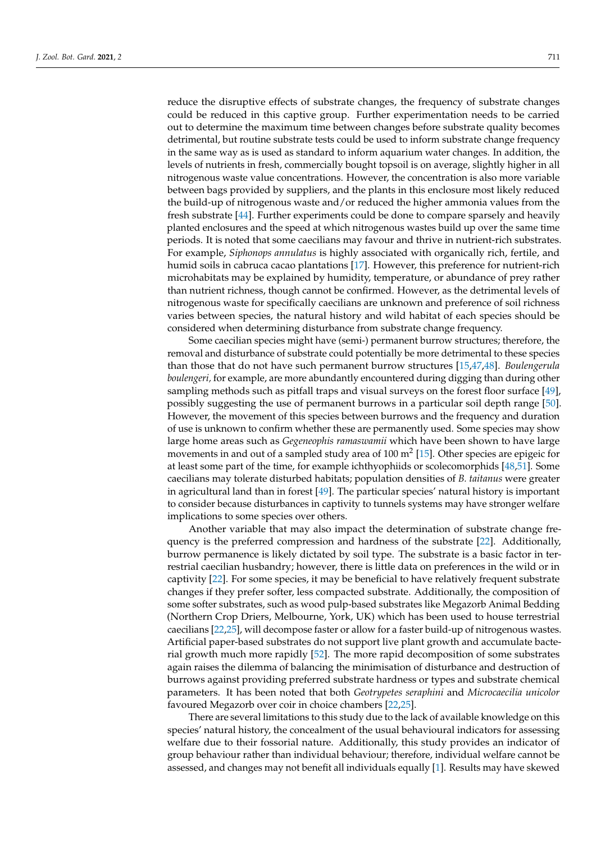reduce the disruptive effects of substrate changes, the frequency of substrate changes could be reduced in this captive group. Further experimentation needs to be carried out to determine the maximum time between changes before substrate quality becomes detrimental, but routine substrate tests could be used to inform substrate change frequency in the same way as is used as standard to inform aquarium water changes. In addition, the levels of nutrients in fresh, commercially bought topsoil is on average, slightly higher in all nitrogenous waste value concentrations. However, the concentration is also more variable between bags provided by suppliers, and the plants in this enclosure most likely reduced the build-up of nitrogenous waste and/or reduced the higher ammonia values from the fresh substrate [\[44\]](#page-11-5). Further experiments could be done to compare sparsely and heavily planted enclosures and the speed at which nitrogenous wastes build up over the same time periods. It is noted that some caecilians may favour and thrive in nutrient-rich substrates. For example, *Siphonops annulatus* is highly associated with organically rich, fertile, and humid soils in cabruca cacao plantations [\[17\]](#page-10-5). However, this preference for nutrient-rich microhabitats may be explained by humidity, temperature, or abundance of prey rather than nutrient richness, though cannot be confirmed. However, as the detrimental levels of nitrogenous waste for specifically caecilians are unknown and preference of soil richness varies between species, the natural history and wild habitat of each species should be considered when determining disturbance from substrate change frequency.

Some caecilian species might have (semi-) permanent burrow structures; therefore, the removal and disturbance of substrate could potentially be more detrimental to these species than those that do not have such permanent burrow structures [\[15](#page-10-6)[,47](#page-11-8)[,48\]](#page-11-9). *Boulengerula boulengeri,* for example, are more abundantly encountered during digging than during other sampling methods such as pitfall traps and visual surveys on the forest floor surface [\[49\]](#page-11-10), possibly suggesting the use of permanent burrows in a particular soil depth range [\[50\]](#page-11-11). However, the movement of this species between burrows and the frequency and duration of use is unknown to confirm whether these are permanently used. Some species may show large home areas such as *Gegeneophis ramaswamii* which have been shown to have large movements in and out of a sampled study area of 100  $m^2$  [\[15\]](#page-10-6). Other species are epigeic for at least some part of the time, for example ichthyophiids or scolecomorphids [\[48](#page-11-9)[,51\]](#page-11-12). Some caecilians may tolerate disturbed habitats; population densities of *B. taitanus* were greater in agricultural land than in forest [\[49\]](#page-11-10). The particular species' natural history is important to consider because disturbances in captivity to tunnels systems may have stronger welfare implications to some species over others.

Another variable that may also impact the determination of substrate change frequency is the preferred compression and hardness of the substrate [\[22\]](#page-10-23). Additionally, burrow permanence is likely dictated by soil type. The substrate is a basic factor in terrestrial caecilian husbandry; however, there is little data on preferences in the wild or in captivity [\[22\]](#page-10-23). For some species, it may be beneficial to have relatively frequent substrate changes if they prefer softer, less compacted substrate. Additionally, the composition of some softer substrates, such as wood pulp-based substrates like Megazorb Animal Bedding (Northern Crop Driers, Melbourne, York, UK) which has been used to house terrestrial caecilians [\[22](#page-10-23)[,25\]](#page-10-9), will decompose faster or allow for a faster build-up of nitrogenous wastes. Artificial paper-based substrates do not support live plant growth and accumulate bacterial growth much more rapidly [\[52\]](#page-11-13). The more rapid decomposition of some substrates again raises the dilemma of balancing the minimisation of disturbance and destruction of burrows against providing preferred substrate hardness or types and substrate chemical parameters. It has been noted that both *Geotrypetes seraphini* and *Microcaecilia unicolor* favoured Megazorb over coir in choice chambers [\[22](#page-10-23)[,25\]](#page-10-9).

There are several limitations to this study due to the lack of available knowledge on this species' natural history, the concealment of the usual behavioural indicators for assessing welfare due to their fossorial nature. Additionally, this study provides an indicator of group behaviour rather than individual behaviour; therefore, individual welfare cannot be assessed, and changes may not benefit all individuals equally [\[1\]](#page-9-0). Results may have skewed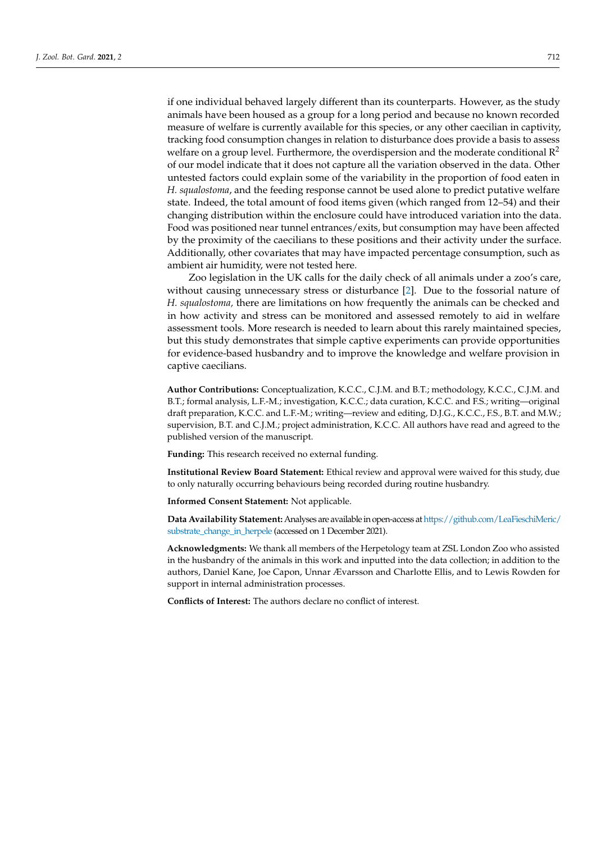if one individual behaved largely different than its counterparts. However, as the study animals have been housed as a group for a long period and because no known recorded measure of welfare is currently available for this species, or any other caecilian in captivity, tracking food consumption changes in relation to disturbance does provide a basis to assess welfare on a group level. Furthermore, the overdispersion and the moderate conditional  $\mathbb{R}^2$ of our model indicate that it does not capture all the variation observed in the data. Other untested factors could explain some of the variability in the proportion of food eaten in *H. squalostoma*, and the feeding response cannot be used alone to predict putative welfare state. Indeed, the total amount of food items given (which ranged from 12–54) and their changing distribution within the enclosure could have introduced variation into the data. Food was positioned near tunnel entrances/exits, but consumption may have been affected by the proximity of the caecilians to these positions and their activity under the surface. Additionally, other covariates that may have impacted percentage consumption, such as ambient air humidity, were not tested here.

Zoo legislation in the UK calls for the daily check of all animals under a zoo's care, without causing unnecessary stress or disturbance [\[2\]](#page-9-1). Due to the fossorial nature of *H. squalostoma,* there are limitations on how frequently the animals can be checked and in how activity and stress can be monitored and assessed remotely to aid in welfare assessment tools. More research is needed to learn about this rarely maintained species, but this study demonstrates that simple captive experiments can provide opportunities for evidence-based husbandry and to improve the knowledge and welfare provision in captive caecilians.

**Author Contributions:** Conceptualization, K.C.C., C.J.M. and B.T.; methodology, K.C.C., C.J.M. and B.T.; formal analysis, L.F.-M.; investigation, K.C.C.; data curation, K.C.C. and F.S.; writing—original draft preparation, K.C.C. and L.F.-M.; writing—review and editing, D.J.G., K.C.C., F.S., B.T. and M.W.; supervision, B.T. and C.J.M.; project administration, K.C.C. All authors have read and agreed to the published version of the manuscript.

**Funding:** This research received no external funding.

**Institutional Review Board Statement:** Ethical review and approval were waived for this study, due to only naturally occurring behaviours being recorded during routine husbandry.

**Informed Consent Statement:** Not applicable.

**Data Availability Statement:** Analyses are availablein open-access at[https://github.com/LeaFieschiMeric/](https://github.com/LeaFieschiMeric/substrate_change_in_herpele) [substrate\\_change\\_in\\_herpele](https://github.com/LeaFieschiMeric/substrate_change_in_herpele) (accessed on 1 December 2021).

**Acknowledgments:** We thank all members of the Herpetology team at ZSL London Zoo who assisted in the husbandry of the animals in this work and inputted into the data collection; in addition to the authors, Daniel Kane, Joe Capon, Unnar Ævarsson and Charlotte Ellis, and to Lewis Rowden for support in internal administration processes.

**Conflicts of Interest:** The authors declare no conflict of interest.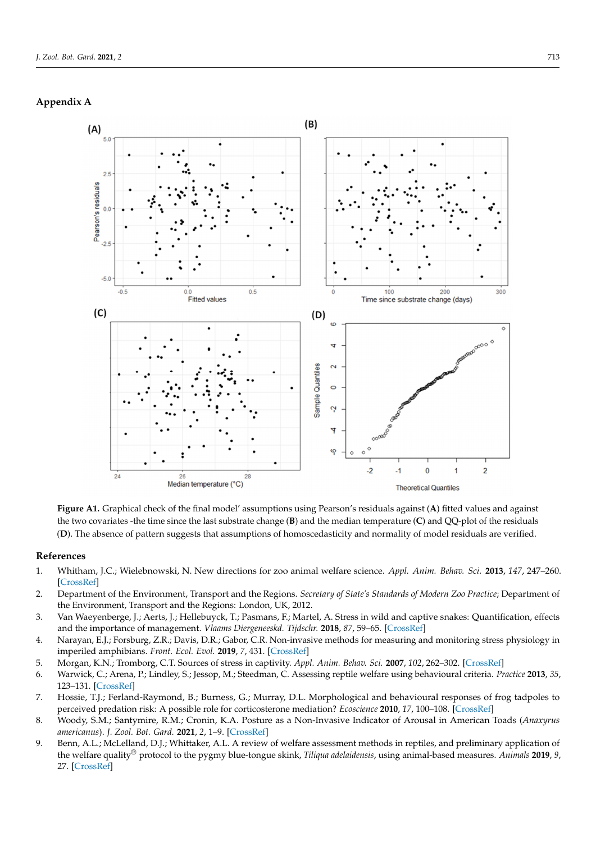#### <span id="page-9-8"></span><span id="page-9-7"></span>**Appendix A**



**Figure A1.** Graphical check of the final model' assumptions using Pearson's residuals against (**A**) fitted values and against the two covariates -the time since the last substrate change  $(B)$  and the median temperature  $(C)$  and  $QC$ -plot of the residuals (D). The absence of pattern suggests that assumptions of homoscedasticity and normality of model residuals are verified. **Figure A1.** Graphical check of the final model' assumptions using Pearson's residuals against (**A**) fitted values and against

## verified. **References**

- <span id="page-9-0"></span>**References**  1. Whitham, J.C.; Wielebnowski, N. New directions for zoo animal welfare science. *Appl. Anim. Behav. Sci.* **2013**, *147*, 247–260. [\[CrossRef\]](http://doi.org/10.1016/j.applanim.2013.02.004)
- <span id="page-9-1"></span>2. Department of the Environment, Transport and the Regions. Secretary of State's Standards of Modern Zoo Practice; Department of 2. Department of the Environment, Transport and the Regions. *Secretary of State's Standards of Modern Zoo Practice*; Department of the Environment, Transport and the Regions: London, UK, 2012.
- <span id="page-9-2"></span>the Environment, Transport and the Regions: London, UK, 2012. 3. Van Waeyenberge, J.; Aerts, J.; Hellebuyck, T.; Pasmans, F.; Martel, A. Stress in wild and captive snakes: Quantification, effects and the importance of management. Vlaams Diergeneeskd. Tijdschr. 2018, 87, 59–65. [\[CrossRef\]](http://doi.org/10.21825/vdt.v87i2.16082)
- <span id="page-9-3"></span>and the importance of management. *Vanishes Diergeneeskad. Tijdschrijfte management. Vlaams Die Cabou CD* Man investige mathods for m 4. Narayan, E.J.; Forsburg, Z.R.; Davis, D.R.; Gabor, C.R. Non-invasive methods for measuring and monitoring stress physiology in<br>impariled emphibions. Frant. Esel. Engl. 2010. 7. 421. [CrearBef] imperiled amphibians. *Front. Ecol. Evol.* **2019**, *7*, 431. [\[CrossRef\]](http://doi.org/10.3389/fevo.2019.00431)
- <span id="page-9-4"></span>in imperiled amphibians. *Front. Ecol. Evol.* **2019**, *7*, 431. 5. Morgan, K.N.; Tromborg, C.T. Sources of stress in captivity. *Appl. Anim. Behav. Sci.* **2007**, *102*, 262–302. [\[CrossRef\]](http://doi.org/10.1016/j.applanim.2006.05.032)
- 5. Morgan, K.N.; Tromborg, C.T. Sources of stress in captivity. *Appl. Anim. Behav. Sci.* **2007**, *102*, 262–302. 6. Warwick, C.; Arena, P.; Lindley, S.; Jessop, M.; Steedman, C. Assessing reptile welfare using behavioural criteria. Practice 2013, 35,<br>122 121 [Green] of l 123–131. [\[CrossRef\]](http://doi.org/10.1136/inp.f1197)
- *35*, 123–131. 7. Hossie, T.J.; Ferland-Raymond, B.; Burness, G.; Murray, D.L. Morphological and behavioural responses of frog tadpoles to perceived predation risk: A possible role for corticosterone mediation? *Ecoscience* 2010, 17, 100–108. [\[CrossRef\]](http://doi.org/10.2980/17-1-3312)
- <span id="page-9-5"></span>ceived predation risk: A possible role for corticosterone mediation? *Ecoscience* **2010**, *17*, 100–108. 8. Woody, S.M.; Santymire, R.M.; Cronin, K.A. Posture as a Non-Invasive Indicator of Arousal in American Toads (Anaxyrus<br>curvicause), L.Zool, Pet. Card. 2021, 2, 1, 0, [Cross Pet] *americanus*). *J. Zool. Bot. Gard.* **2021**, *2*, 1–9. [\[CrossRef\]](http://doi.org/10.3390/jzbg2010001)
- <span id="page-9-6"></span>*americanus*). *J. Zool. Bot. Gard.* **2021**, *2*, 1–9. 9. Benn, A.L.; McLelland, D.J.; Whittaker, A.L. A review of welfare assessment methods in reptiles, and preliminary application of  $\mu_{\text{max}}$ ,  $\mu_{\text{max}}$ ,  $\mu_{\text{max}}$ ,  $\mu_{\text{max}}$ ,  $\mu_{\text{max}}$ ,  $\mu_{\text{max}}$ ,  $\mu_{\text{max}}$ ,  $\mu_{\text{max}}$ ,  $\mu_{\text{max}}$ ,  $\mu_{\text{max}}$ ,  $\mu_{\text{max}}$ ,  $\mu_{\text{max}}$ ,  $\mu_{\text{max}}$ ,  $\mu_{\text{max}}$ ,  $\mu_{\text{max}}$ ,  $\mu_{\text{max}}$ ,  $\mu_{\text{max}}$ ,  $\mu_{\text{max}}$ ,  $\mu_{\$ the welfare quality® protocol to the pygmy blue-tongue skink, Tiliqua adelaidensis, using animal-based measures. Animals 2019, 9, 27 [CrossBefl **2019**, *9*, 27. 27. [\[CrossRef\]](http://doi.org/10.3390/ani9010027)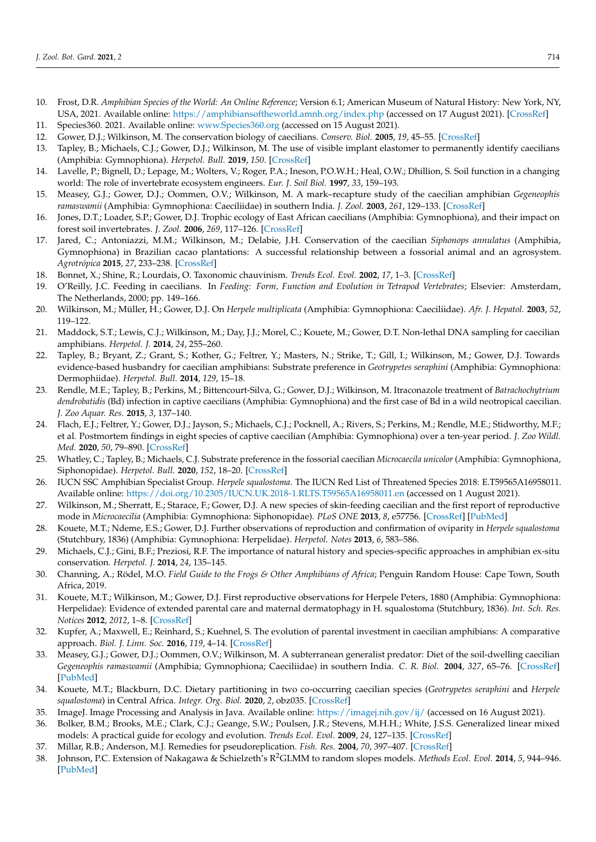- <span id="page-10-0"></span>10. Frost, D.R. *Amphibian Species of the World: An Online Reference*; Version 6.1; American Museum of Natural History: New York, NY, USA, 2021. Available online: <https://amphibiansoftheworld.amnh.org/index.php> (accessed on 17 August 2021). [\[CrossRef\]](http://doi.org/10.5531/db.vz.0001)
- <span id="page-10-1"></span>11. Species360. 2021. Available online: <www.Species360.org> (accessed on 15 August 2021).
- <span id="page-10-2"></span>12. Gower, D.J.; Wilkinson, M. The conservation biology of caecilians. *Conserv. Biol.* **2005**, *19*, 45–55. [\[CrossRef\]](http://doi.org/10.1111/j.1523-1739.2005.00589.x)
- <span id="page-10-3"></span>13. Tapley, B.; Michaels, C.J.; Gower, D.J.; Wilkinson, M. The use of visible implant elastomer to permanently identify caecilians (Amphibia: Gymnophiona). *Herpetol. Bull.* **2019**, *150*. [\[CrossRef\]](http://doi.org/10.33256/hb150.1822)
- <span id="page-10-4"></span>14. Lavelle, P.; Bignell, D.; Lepage, M.; Wolters, V.; Roger, P.A.; Ineson, P.O.W.H.; Heal, O.W.; Dhillion, S. Soil function in a changing world: The role of invertebrate ecosystem engineers. *Eur. J. Soil Biol.* **1997**, *33*, 159–193.
- <span id="page-10-6"></span>15. Measey, G.J.; Gower, D.J.; Oommen, O.V.; Wilkinson, M. A mark–recapture study of the caecilian amphibian *Gegeneophis ramaswamii* (Amphibia: Gymnophiona: Caeciliidae) in southern India. *J. Zool.* **2003**, *261*, 129–133. [\[CrossRef\]](http://doi.org/10.1017/S0952836903004011)
- 16. Jones, D.T.; Loader, S.P.; Gower, D.J. Trophic ecology of East African caecilians (Amphibia: Gymnophiona), and their impact on forest soil invertebrates. *J. Zool.* **2006**, *269*, 117–126. [\[CrossRef\]](http://doi.org/10.1111/j.1469-7998.2006.00045.x)
- <span id="page-10-5"></span>17. Jared, C.; Antoniazzi, M.M.; Wilkinson, M.; Delabie, J.H. Conservation of the caecilian *Siphonops annulatus* (Amphibia, Gymnophiona) in Brazilian cacao plantations: A successful relationship between a fossorial animal and an agrosystem. *Agrotrópica* **2015**, *27*, 233–238. [\[CrossRef\]](http://doi.org/10.21757/0103-3816.2015v27n3p233-238)
- <span id="page-10-7"></span>18. Bonnet, X.; Shine, R.; Lourdais, O. Taxonomic chauvinism. *Trends Ecol. Evol.* **2002**, *17*, 1–3. [\[CrossRef\]](http://doi.org/10.1016/S0169-5347(01)02381-3)
- <span id="page-10-8"></span>19. O'Reilly, J.C. Feeding in caecilians. In *Feeding: Form, Function and Evolution in Tetrapod Vertebrates*; Elsevier: Amsterdam, The Netherlands, 2000; pp. 149–166.
- <span id="page-10-11"></span>20. Wilkinson, M.; Müller, H.; Gower, D.J. On *Herpele multiplicata* (Amphibia: Gymnophiona: Caeciliidae). *Afr. J. Hepatol.* **2003**, *52*, 119–122.
- 21. Maddock, S.T.; Lewis, C.J.; Wilkinson, M.; Day, J.J.; Morel, C.; Kouete, M.; Gower, D.T. Non-lethal DNA sampling for caecilian amphibians. *Herpetol. J.* **2014**, *24*, 255–260.
- <span id="page-10-23"></span>22. Tapley, B.; Bryant, Z.; Grant, S.; Kother, G.; Feltrer, Y.; Masters, N.; Strike, T.; Gill, I.; Wilkinson, M.; Gower, D.J. Towards evidence-based husbandry for caecilian amphibians: Substrate preference in *Geotrypetes seraphini* (Amphibia: Gymnophiona: Dermophiidae). *Herpetol. Bull.* **2014**, *129*, 15–18.
- 23. Rendle, M.E.; Tapley, B.; Perkins, M.; Bittencourt-Silva, G.; Gower, D.J.; Wilkinson, M. Itraconazole treatment of *Batrachochytrium dendrobatidis* (Bd) infection in captive caecilians (Amphibia: Gymnophiona) and the first case of Bd in a wild neotropical caecilian. *J. Zoo Aquar. Res.* **2015**, *3*, 137–140.
- 24. Flach, E.J.; Feltrer, Y.; Gower, D.J.; Jayson, S.; Michaels, C.J.; Pocknell, A.; Rivers, S.; Perkins, M.; Rendle, M.E.; Stidworthy, M.F.; et al. Postmortem findings in eight species of captive caecilian (Amphibia: Gymnophiona) over a ten-year period. *J. Zoo Wildl. Med.* **2020**, *50*, 79–890. [\[CrossRef\]](http://doi.org/10.1638/2019-0047)
- <span id="page-10-9"></span>25. Whatley, C.; Tapley, B.; Michaels, C.J. Substrate preference in the fossorial caecilian *Microcaecila unicolor* (Amphibia: Gymnophiona, Siphonopidae). *Herpetol. Bull.* **2020**, *152*, 18–20. [\[CrossRef\]](http://doi.org/10.33256/152.1820)
- <span id="page-10-10"></span>26. IUCN SSC Amphibian Specialist Group. *Herpele squalostoma*. The IUCN Red List of Threatened Species 2018: E.T59565A16958011. Available online: <https://doi.org/10.2305/IUCN.UK.2018-1.RLTS.T59565A16958011.en> (accessed on 1 August 2021).
- <span id="page-10-12"></span>27. Wilkinson, M.; Sherratt, E.; Starace, F.; Gower, D.J. A new species of skin-feeding caecilian and the first report of reproductive mode in *Microcaecilia* (Amphibia: Gymnophiona: Siphonopidae). *PLoS ONE* **2013**, *8*, e57756. [\[CrossRef\]](http://doi.org/10.1371/journal.pone.0057756) [\[PubMed\]](http://www.ncbi.nlm.nih.gov/pubmed/23483926)
- <span id="page-10-13"></span>28. Kouete, M.T.; Ndeme, E.S.; Gower, D.J. Further observations of reproduction and confirmation of oviparity in *Herpele squalostoma* (Stutchbury, 1836) (Amphibia: Gymnophiona: Herpelidae). *Herpetol. Notes* **2013**, *6*, 583–586.
- <span id="page-10-14"></span>29. Michaels, C.J.; Gini, B.F.; Preziosi, R.F. The importance of natural history and species-specific approaches in amphibian ex-situ conservation. *Herpetol. J.* **2014**, *24*, 135–145.
- <span id="page-10-15"></span>30. Channing, A.; Rödel, M.O. *Field Guide to the Frogs & Other Amphibians of Africa*; Penguin Random House: Cape Town, South Africa, 2019.
- 31. Kouete, M.T.; Wilkinson, M.; Gower, D.J. First reproductive observations for Herpele Peters, 1880 (Amphibia: Gymnophiona: Herpelidae): Evidence of extended parental care and maternal dermatophagy in H. squalostoma (Stutchbury, 1836). *Int. Sch. Res. Notices* **2012**, *2012*, 1–8. [\[CrossRef\]](http://doi.org/10.5402/2012/269690)
- <span id="page-10-16"></span>32. Kupfer, A.; Maxwell, E.; Reinhard, S.; Kuehnel, S. The evolution of parental investment in caecilian amphibians: A comparative approach. *Biol. J. Linn. Soc.* **2016**, *119*, 4–14. [\[CrossRef\]](http://doi.org/10.1111/bij.12805)
- <span id="page-10-17"></span>33. Measey, G.J.; Gower, D.J.; Oommen, O.V.; Wilkinson, M. A subterranean generalist predator: Diet of the soil-dwelling caecilian *Gegeneophis ramaswamii* (Amphibia; Gymnophiona; Caeciliidae) in southern India. *C. R. Biol.* **2004**, *327*, 65–76. [\[CrossRef\]](http://doi.org/10.1016/j.crvi.2003.11.001) [\[PubMed\]](http://www.ncbi.nlm.nih.gov/pubmed/15015756)
- <span id="page-10-18"></span>34. Kouete, M.T.; Blackburn, D.C. Dietary partitioning in two co-occurring caecilian species (*Geotrypetes seraphini* and *Herpele squalostoma*) in Central Africa. *Integr. Org. Biol.* **2020**, *2*, obz035. [\[CrossRef\]](http://doi.org/10.1093/iob/obz035)
- <span id="page-10-19"></span>35. ImageJ. Image Processing and Analysis in Java. Available online: <https://imagej.nih.gov/ij/> (accessed on 16 August 2021).
- <span id="page-10-20"></span>36. Bolker, B.M.; Brooks, M.E.; Clark, C.J.; Geange, S.W.; Poulsen, J.R.; Stevens, M.H.H.; White, J.S.S. Generalized linear mixed models: A practical guide for ecology and evolution. *Trends Ecol. Evol.* **2009**, *24*, 127–135. [\[CrossRef\]](http://doi.org/10.1016/j.tree.2008.10.008)
- <span id="page-10-21"></span>37. Millar, R.B.; Anderson, M.J. Remedies for pseudoreplication. *Fish. Res.* **2004**, *70*, 397–407. [\[CrossRef\]](http://doi.org/10.1016/j.fishres.2004.08.016)
- <span id="page-10-22"></span>38. Johnson, P.C. Extension of Nakagawa & Schielzeth's R2GLMM to random slopes models. *Methods Ecol. Evol.* **2014**, *5*, 944–946. [\[PubMed\]](http://www.ncbi.nlm.nih.gov/pubmed/25810896)